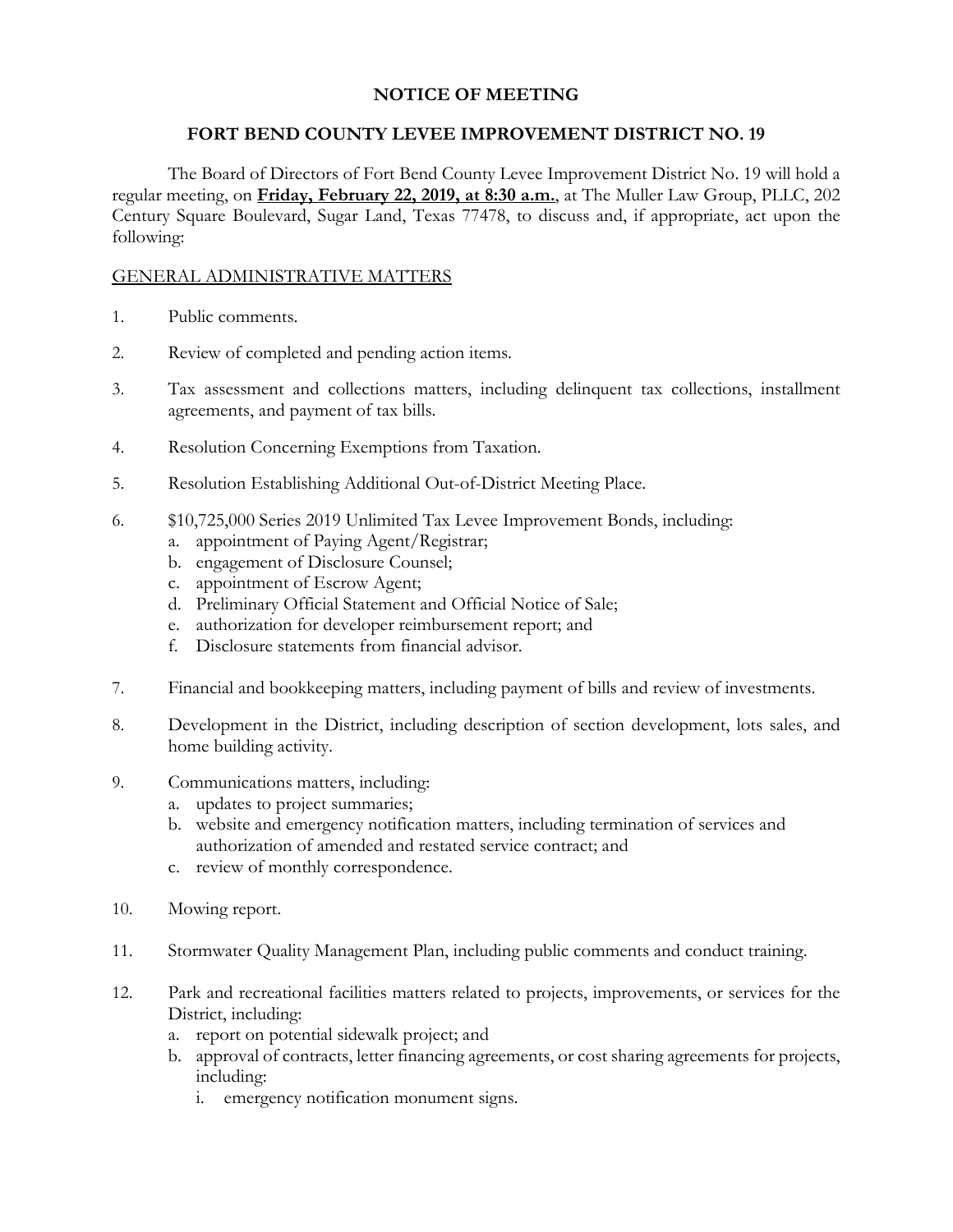# **NOTICE OF MEETING**

### **FORT BEND COUNTY LEVEE IMPROVEMENT DISTRICT NO. 19**

The Board of Directors of Fort Bend County Levee Improvement District No. 19 will hold a regular meeting, on **Friday, February 22, 2019, at 8:30 a.m.**, at The Muller Law Group, PLLC, 202 Century Square Boulevard, Sugar Land, Texas 77478, to discuss and, if appropriate, act upon the following:

### GENERAL ADMINISTRATIVE MATTERS

- 1. Public comments.
- 2. Review of completed and pending action items.
- 3. Tax assessment and collections matters, including delinquent tax collections, installment agreements, and payment of tax bills.
- 4. Resolution Concerning Exemptions from Taxation.
- 5. Resolution Establishing Additional Out-of-District Meeting Place.
- 6. \$10,725,000 Series 2019 Unlimited Tax Levee Improvement Bonds, including:
	- a. appointment of Paying Agent/Registrar;
	- b. engagement of Disclosure Counsel;
	- c. appointment of Escrow Agent;
	- d. Preliminary Official Statement and Official Notice of Sale;
	- e. authorization for developer reimbursement report; and
	- f. Disclosure statements from financial advisor.
- 7. Financial and bookkeeping matters, including payment of bills and review of investments.
- 8. Development in the District, including description of section development, lots sales, and home building activity.
- 9. Communications matters, including:
	- a. updates to project summaries;
	- b. website and emergency notification matters, including termination of services and authorization of amended and restated service contract; and
	- c. review of monthly correspondence.
- 10. Mowing report.
- 11. Stormwater Quality Management Plan, including public comments and conduct training.
- 12. Park and recreational facilities matters related to projects, improvements, or services for the District, including:
	- a. report on potential sidewalk project; and
	- b. approval of contracts, letter financing agreements, or cost sharing agreements for projects, including:
		- i. emergency notification monument signs.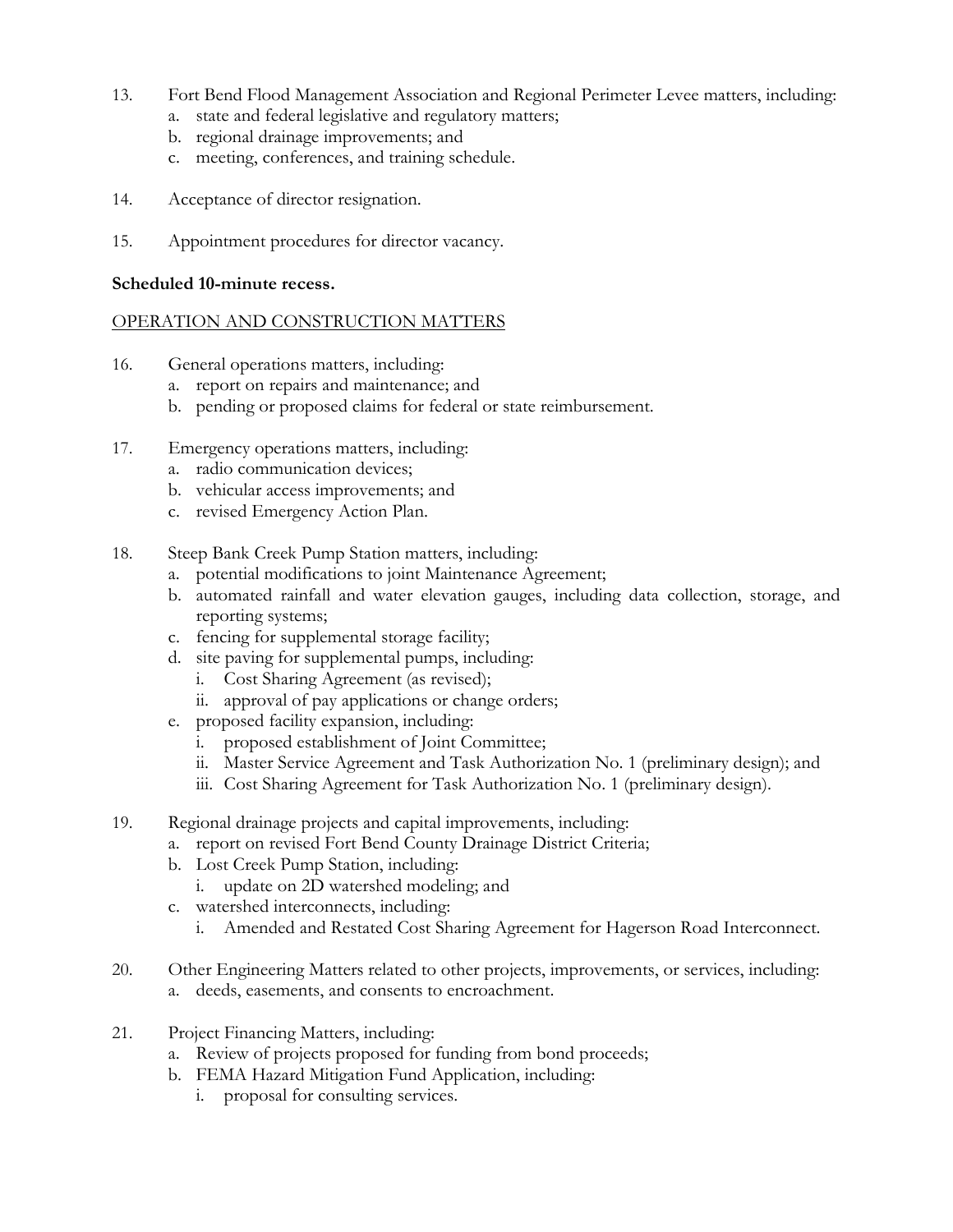- 13. Fort Bend Flood Management Association and Regional Perimeter Levee matters, including:
	- a. state and federal legislative and regulatory matters;
	- b. regional drainage improvements; and
	- c. meeting, conferences, and training schedule.
- 14. Acceptance of director resignation.
- 15. Appointment procedures for director vacancy.

#### **Scheduled 10-minute recess.**

## OPERATION AND CONSTRUCTION MATTERS

- 16. General operations matters, including:
	- a. report on repairs and maintenance; and
	- b. pending or proposed claims for federal or state reimbursement.
- 17. Emergency operations matters, including:
	- a. radio communication devices;
	- b. vehicular access improvements; and
	- c. revised Emergency Action Plan.
- 18. Steep Bank Creek Pump Station matters, including:
	- a. potential modifications to joint Maintenance Agreement;
	- b. automated rainfall and water elevation gauges, including data collection, storage, and reporting systems;
	- c. fencing for supplemental storage facility;
	- d. site paving for supplemental pumps, including:
		- i. Cost Sharing Agreement (as revised);
		- ii. approval of pay applications or change orders;
	- e. proposed facility expansion, including:
		- i. proposed establishment of Joint Committee;
		- ii. Master Service Agreement and Task Authorization No. 1 (preliminary design); and
		- iii. Cost Sharing Agreement for Task Authorization No. 1 (preliminary design).
- 19. Regional drainage projects and capital improvements, including:
	- a. report on revised Fort Bend County Drainage District Criteria;
	- b. Lost Creek Pump Station, including:
		- i. update on 2D watershed modeling; and
	- c. watershed interconnects, including:
		- i. Amended and Restated Cost Sharing Agreement for Hagerson Road Interconnect.
- 20. Other Engineering Matters related to other projects, improvements, or services, including: a. deeds, easements, and consents to encroachment.
- 21. Project Financing Matters, including:
	- a. Review of projects proposed for funding from bond proceeds;
	- b. FEMA Hazard Mitigation Fund Application, including:
		- i. proposal for consulting services.